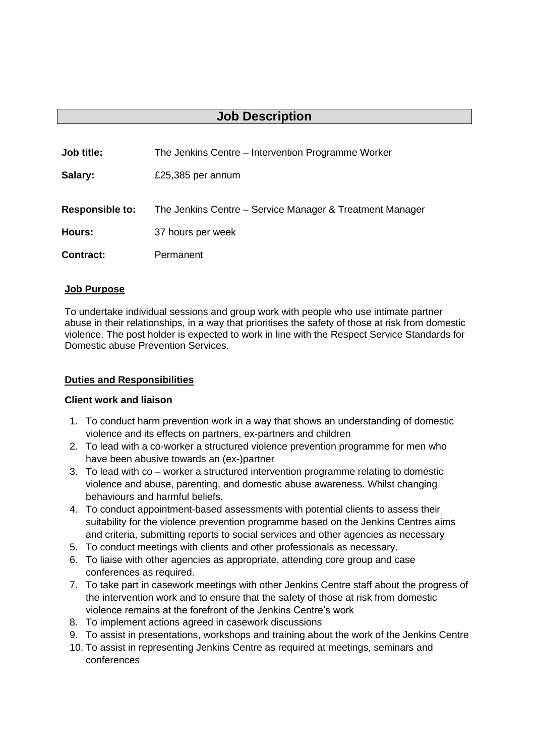# **Job Description**

| Job title:             | The Jenkins Centre – Intervention Programme Worker       |
|------------------------|----------------------------------------------------------|
| Salary:                | £25,385 per annum                                        |
| <b>Responsible to:</b> | The Jenkins Centre – Service Manager & Treatment Manager |
| <b>Hours:</b>          | 37 hours per week                                        |
| <b>Contract:</b>       | Permanent                                                |

#### **Job Purpose**

To undertake individual sessions and group work with people who use intimate partner abuse in their relationships, in a way that prioritises the safety of those at risk from domestic violence. The post holder is expected to work in line with the Respect Service Standards for Domestic abuse Prevention Services.

#### **Duties and Responsibilities**

#### **Client work and liaison**

- 1. To conduct harm prevention work in a way that shows an understanding of domestic violence and its effects on partners, ex-partners and children
- 2. To lead with a co-worker a structured violence prevention programme for men who have been abusive towards an (ex-)partner
- 3. To lead with co worker a structured intervention programme relating to domestic violence and abuse, parenting, and domestic abuse awareness. Whilst changing behaviours and harmful beliefs.
- 4. To conduct appointment-based assessments with potential clients to assess their suitability for the violence prevention programme based on the Jenkins Centres aims and criteria, submitting reports to social services and other agencies as necessary
- 5. To conduct meetings with clients and other professionals as necessary.
- 6. To liaise with other agencies as appropriate, attending core group and case conferences as required.
- 7. To take part in casework meetings with other Jenkins Centre staff about the progress of the intervention work and to ensure that the safety of those at risk from domestic violence remains at the forefront of the Jenkins Centre's work
- 8. To implement actions agreed in casework discussions
- 9. To assist in presentations, workshops and training about the work of the Jenkins Centre
- 10. To assist in representing Jenkins Centre as required at meetings, seminars and conferences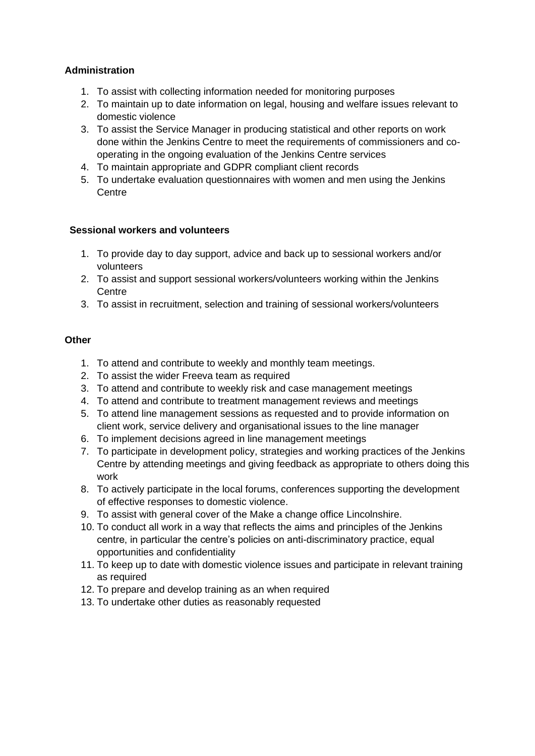### **Administration**

- 1. To assist with collecting information needed for monitoring purposes
- 2. To maintain up to date information on legal, housing and welfare issues relevant to domestic violence
- 3. To assist the Service Manager in producing statistical and other reports on work done within the Jenkins Centre to meet the requirements of commissioners and cooperating in the ongoing evaluation of the Jenkins Centre services
- 4. To maintain appropriate and GDPR compliant client records
- 5. To undertake evaluation questionnaires with women and men using the Jenkins **Centre**

#### **Sessional workers and volunteers**

- 1. To provide day to day support, advice and back up to sessional workers and/or volunteers
- 2. To assist and support sessional workers/volunteers working within the Jenkins **Centre**
- 3. To assist in recruitment, selection and training of sessional workers/volunteers

#### **Other**

- 1. To attend and contribute to weekly and monthly team meetings.
- 2. To assist the wider Freeva team as required
- 3. To attend and contribute to weekly risk and case management meetings
- 4. To attend and contribute to treatment management reviews and meetings
- 5. To attend line management sessions as requested and to provide information on client work, service delivery and organisational issues to the line manager
- 6. To implement decisions agreed in line management meetings
- 7. To participate in development policy, strategies and working practices of the Jenkins Centre by attending meetings and giving feedback as appropriate to others doing this work
- 8. To actively participate in the local forums, conferences supporting the development of effective responses to domestic violence.
- 9. To assist with general cover of the Make a change office Lincolnshire.
- 10. To conduct all work in a way that reflects the aims and principles of the Jenkins centre, in particular the centre's policies on anti-discriminatory practice, equal opportunities and confidentiality
- 11. To keep up to date with domestic violence issues and participate in relevant training as required
- 12. To prepare and develop training as an when required
- 13. To undertake other duties as reasonably requested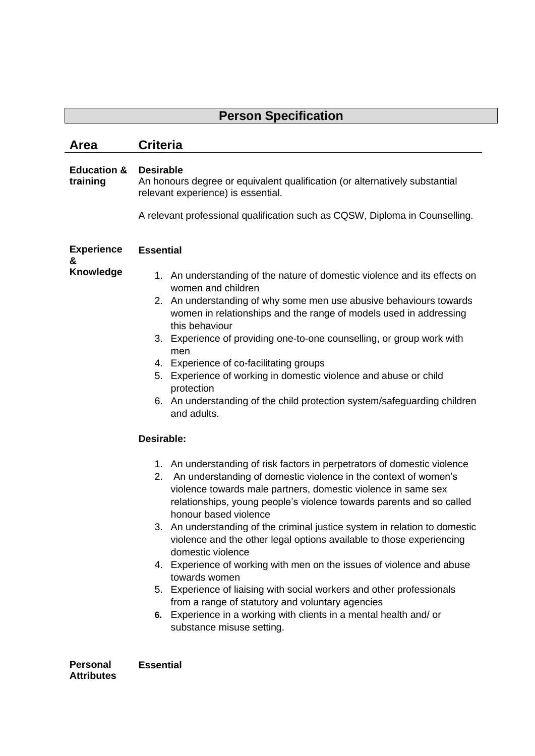# **Person Specification**

## **Area Criteria**

#### **Education & Desirable training** An honours degree or equivalent qualification (or alternatively substantial relevant experience) is essential.

A relevant professional qualification such as CQSW, Diploma in Counselling.

| <b>Experience</b><br>& | <b>Essential</b>                                                                                                                                                                                                                                                                                                                                                                                                                                                                                                                                                                                                                                                                                                   |  |
|------------------------|--------------------------------------------------------------------------------------------------------------------------------------------------------------------------------------------------------------------------------------------------------------------------------------------------------------------------------------------------------------------------------------------------------------------------------------------------------------------------------------------------------------------------------------------------------------------------------------------------------------------------------------------------------------------------------------------------------------------|--|
| Knowledge              | 1. An understanding of the nature of domestic violence and its effects on<br>women and children                                                                                                                                                                                                                                                                                                                                                                                                                                                                                                                                                                                                                    |  |
|                        | 2. An understanding of why some men use abusive behaviours towards<br>women in relationships and the range of models used in addressing<br>this behaviour                                                                                                                                                                                                                                                                                                                                                                                                                                                                                                                                                          |  |
|                        | 3. Experience of providing one-to-one counselling, or group work with<br>men                                                                                                                                                                                                                                                                                                                                                                                                                                                                                                                                                                                                                                       |  |
|                        | 4. Experience of co-facilitating groups                                                                                                                                                                                                                                                                                                                                                                                                                                                                                                                                                                                                                                                                            |  |
|                        | 5. Experience of working in domestic violence and abuse or child<br>protection                                                                                                                                                                                                                                                                                                                                                                                                                                                                                                                                                                                                                                     |  |
|                        | 6. An understanding of the child protection system/safeguarding children<br>and adults.                                                                                                                                                                                                                                                                                                                                                                                                                                                                                                                                                                                                                            |  |
|                        | Desirable:                                                                                                                                                                                                                                                                                                                                                                                                                                                                                                                                                                                                                                                                                                         |  |
|                        | 1. An understanding of risk factors in perpetrators of domestic violence<br>2. An understanding of domestic violence in the context of women's<br>violence towards male partners, domestic violence in same sex<br>relationships, young people's violence towards parents and so called<br>honour based violence<br>3. An understanding of the criminal justice system in relation to domestic<br>violence and the other legal options available to those experiencing<br>domestic violence<br>4. Experience of working with men on the issues of violence and abuse<br>towards women<br>5. Experience of liaising with social workers and other professionals<br>from a range of statutory and voluntary agencies |  |
|                        | 6. Experience in a working with clients in a mental health and/ or<br>substance misuse setting.                                                                                                                                                                                                                                                                                                                                                                                                                                                                                                                                                                                                                    |  |
| Dareonal               | <b>Eccontial</b>                                                                                                                                                                                                                                                                                                                                                                                                                                                                                                                                                                                                                                                                                                   |  |

**Personal Attributes Essential**